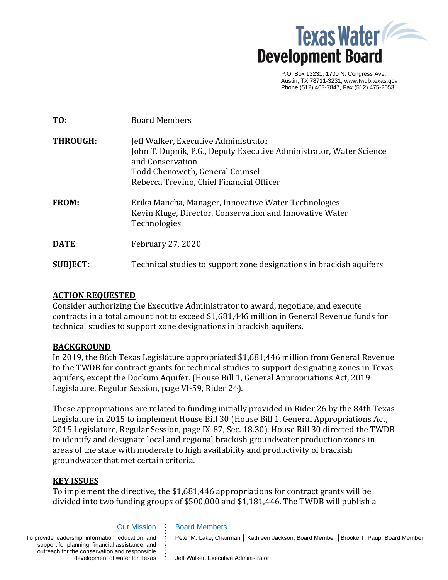

P.O. Box 13231, 1700 N. Congress Ave. Austin, TX 78711-3231, www.twdb.texas.gov Phone (512) 463-7847, Fax (512) 475-2053

| TO:             | <b>Board Members</b>                                                                                                                                                                                           |
|-----------------|----------------------------------------------------------------------------------------------------------------------------------------------------------------------------------------------------------------|
| <b>THROUGH:</b> | Jeff Walker, Executive Administrator<br>John T. Dupnik, P.G., Deputy Executive Administrator, Water Science<br>and Conservation<br>Todd Chenoweth, General Counsel<br>Rebecca Trevino, Chief Financial Officer |
| <b>FROM:</b>    | Erika Mancha, Manager, Innovative Water Technologies<br>Kevin Kluge, Director, Conservation and Innovative Water<br>Technologies                                                                               |
| DATE:           | <b>February 27, 2020</b>                                                                                                                                                                                       |
| <b>SUBJECT:</b> | Technical studies to support zone designations in brackish aquifers                                                                                                                                            |

## **ACTION REQUESTED**

Consider authorizing the Executive Administrator to award, negotiate, and execute contracts in a total amount not to exceed \$1,681,446 million in General Revenue funds for technical studies to support zone designations in brackish aquifers.

## **BACKGROUND**

In 2019, the 86th Texas Legislature appropriated \$1,681,446 million from General Revenue to the TWDB for contract grants for technical studies to support designating zones in Texas aquifers, except the Dockum Aquifer. (House Bill 1, General Appropriations Act, 2019 Legislature, Regular Session, page VI-59, Rider 24).

These appropriations are related to funding initially provided in Rider 26 by the 84th Texas Legislature in 2015 to implement House Bill 30 (House Bill 1, General Appropriations Act, 2015 Legislature, Regular Session, page IX-87, Sec. 18.30). House Bill 30 directed the TWDB to identify and designate local and regional brackish groundwater production zones in areas of the state with moderate to high availability and productivity of brackish groundwater that met certain criteria.

# **KEY ISSUES**

To implement the directive, the \$1,681,446 appropriations for contract grants will be divided into two funding groups of \$500,000 and \$1,181,446. The TWDB will publish a

### Our Mission

**. . . . . . . . . . .**

To provide leadership, information, education, and support for planning, financial assistance, and outreach for the conservation and responsible development of water for Texas **. .**

#### Board Members

Peter M. Lake, Chairman │ Kathleen Jackson, Board Member │Brooke T. Paup, Board Member

Jeff Walker, Executive Administrator